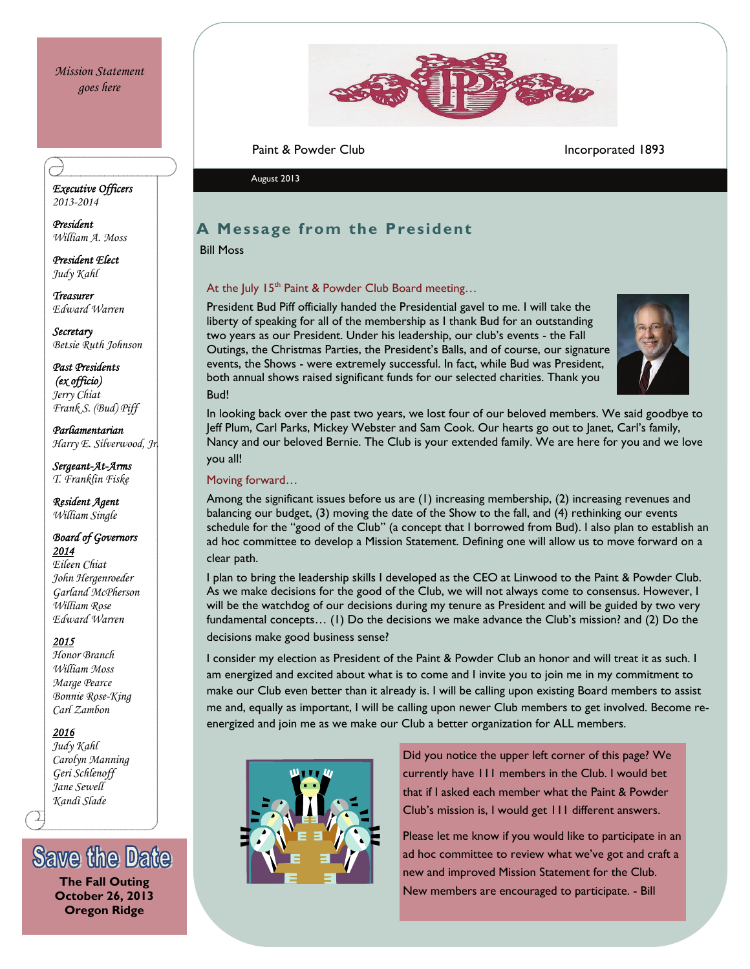

Paint & Powder Club Incorporated 1893

August 2013

## **A Message from the President**

Bill Moss

### At the July  $15<sup>th</sup>$  Paint & Powder Club Board meeting...

President Bud Piff officially handed the Presidential gavel to me. I will take the liberty of speaking for all of the membership as I thank Bud for an outstanding two years as our President. Under his leadership, our club's events - the Fall Outings, the Christmas Parties, the President's Balls, and of course, our signature events, the Shows - were extremely successful. In fact, while Bud was President, both annual shows raised significant funds for our selected charities. Thank you Bud!



In looking back over the past two years, we lost four of our beloved members. We said goodbye to Jeff Plum, Carl Parks, Mickey Webster and Sam Cook. Our hearts go out to Janet, Carl's family, Nancy and our beloved Bernie. The Club is your extended family. We are here for you and we love you all!

### Moving forward…

Among the significant issues before us are (1) increasing membership, (2) increasing revenues and balancing our budget, (3) moving the date of the Show to the fall, and (4) rethinking our events schedule for the "good of the Club" (a concept that I borrowed from Bud). I also plan to establish an ad hoc committee to develop a Mission Statement. Defining one will allow us to move forward on a clear path.

I plan to bring the leadership skills I developed as the CEO at Linwood to the Paint & Powder Club. As we make decisions for the good of the Club, we will not always come to consensus. However, I will be the watchdog of our decisions during my tenure as President and will be guided by two very fundamental concepts… (1) Do the decisions we make advance the Club's mission? and (2) Do the decisions make good business sense?

I consider my election as President of the Paint & Powder Club an honor and will treat it as such. I am energized and excited about what is to come and I invite you to join me in my commitment to make our Club even better than it already is. I will be calling upon existing Board members to assist me and, equally as important, I will be calling upon newer Club members to get involved. Become reenergized and join me as we make our Club a better organization for ALL members.



Did you notice the upper left corner of this page? We currently have 111 members in the Club. I would bet that if I asked each member what the Paint & Powder Club's mission is, I would get 111 different answers.

Please let me know if you would like to participate in an ad hoc committee to review what we've got and craft a new and improved Mission Statement for the Club. The Fall Outing **New Market Community of the Fall Outing of the Fall Outing and The Fall Outing in the Fall Outing of the Fall Outing of the Fall Outing of the Fall Outing of the Fall Outing of the Fall Outing of the Fall** 

*Executive Officers 2013-2014* 

*President William A. Moss* 

*President Elect Judy Kahl* 

*Treasurer Edward Warren* 

*Secretary Betsie Ruth Johnson* 

*Past Presidents (ex officio) Jerry Chiat Frank S. (Bud) Piff* 

*Parliamentarian Harry E. Silverwood, Jr.* 

*Sergeant-At-Arms T. Franklin Fiske* 

*Resident Agent William Single* 

#### *Board of Governors 2014*

*Eileen Chiat John Hergenroeder Garland McPherson William Rose Edward Warren* 

#### *2015*

*Honor Branch William Moss Marge Pearce Bonnie Rose-King Carl Zambon* 

#### *2016*

*Judy Kahl Carolyn Manning Geri Schlenoff Jane Sewell Kandi Slade* 

**Save the Date** 

**October 26, 2013 Oregon Ridge**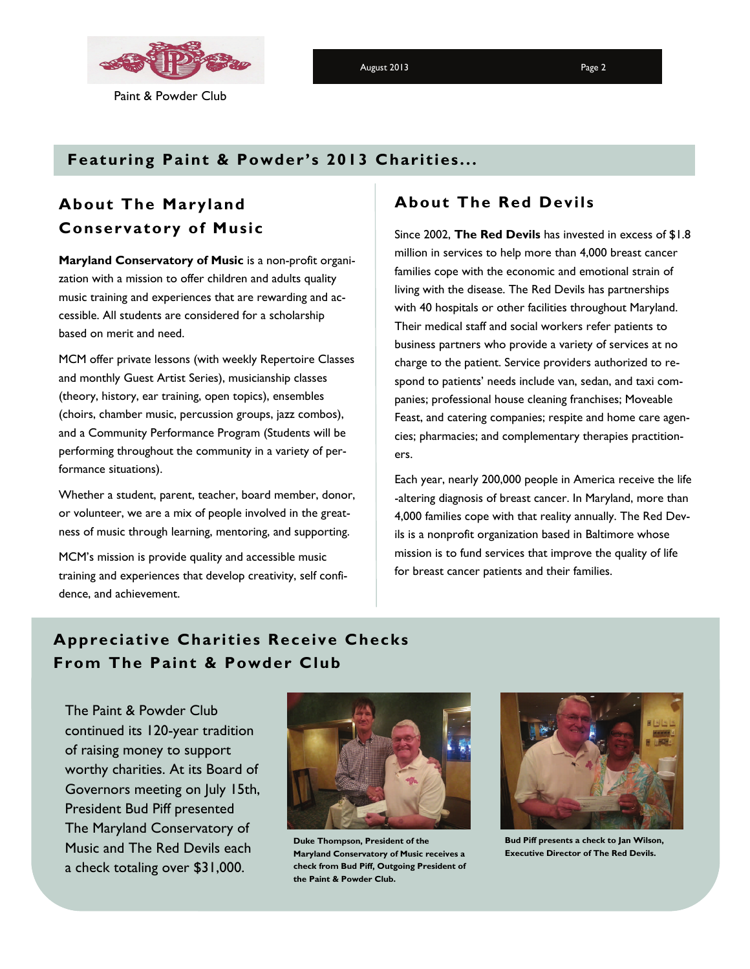

Paint & Powder Club

August 2013 **Page 2** 

## **Featuring Paint & Powder's 2013 Charities...**

# **About The Maryland Conservatory of Music**

**Maryland Conservatory of Music** is a non-profit organization with a mission to offer children and adults quality music training and experiences that are rewarding and accessible. All students are considered for a scholarship based on merit and need.

MCM offer private lessons (with weekly Repertoire Classes and monthly Guest Artist Series), musicianship classes (theory, history, ear training, open topics), ensembles (choirs, chamber music, percussion groups, jazz combos), and a Community Performance Program (Students will be performing throughout the community in a variety of performance situations).

Whether a student, parent, teacher, board member, donor, or volunteer, we are a mix of people involved in the greatness of music through learning, mentoring, and supporting.

MCM's mission is provide quality and accessible music training and experiences that develop creativity, self confidence, and achievement.

## **About The Red Devils**

Since 2002, **The Red Devils** has invested in excess of \$1.8 million in services to help more than 4,000 breast cancer families cope with the economic and emotional strain of living with the disease. The Red Devils has partnerships with 40 hospitals or other facilities throughout Maryland. Their medical staff and social workers refer patients to business partners who provide a variety of services at no charge to the patient. Service providers authorized to respond to patients' needs include van, sedan, and taxi companies; professional house cleaning franchises; Moveable Feast, and catering companies; respite and home care agencies; pharmacies; and complementary therapies practitioners.

Each year, nearly 200,000 people in America receive the life -altering diagnosis of breast cancer. In Maryland, more than 4,000 families cope with that reality annually. The Red Devils is a nonprofit organization based in Baltimore whose mission is to fund services that improve the quality of life for breast cancer patients and their families.

# **Appreciative Charities Receive Checks From The Paint & Powder Club**

The Paint & Powder Club continued its 120-year tradition of raising money to support worthy charities. At its Board of Governors meeting on July 15th, President Bud Piff presented The Maryland Conservatory of Music and The Red Devils each a check totaling over \$31,000.



**Duke Thompson, President of the Maryland Conservatory of Music receives a check from Bud Piff, Outgoing President of the Paint & Powder Club.** 



**Bud Piff presents a check to Jan Wilson, Executive Director of The Red Devils.**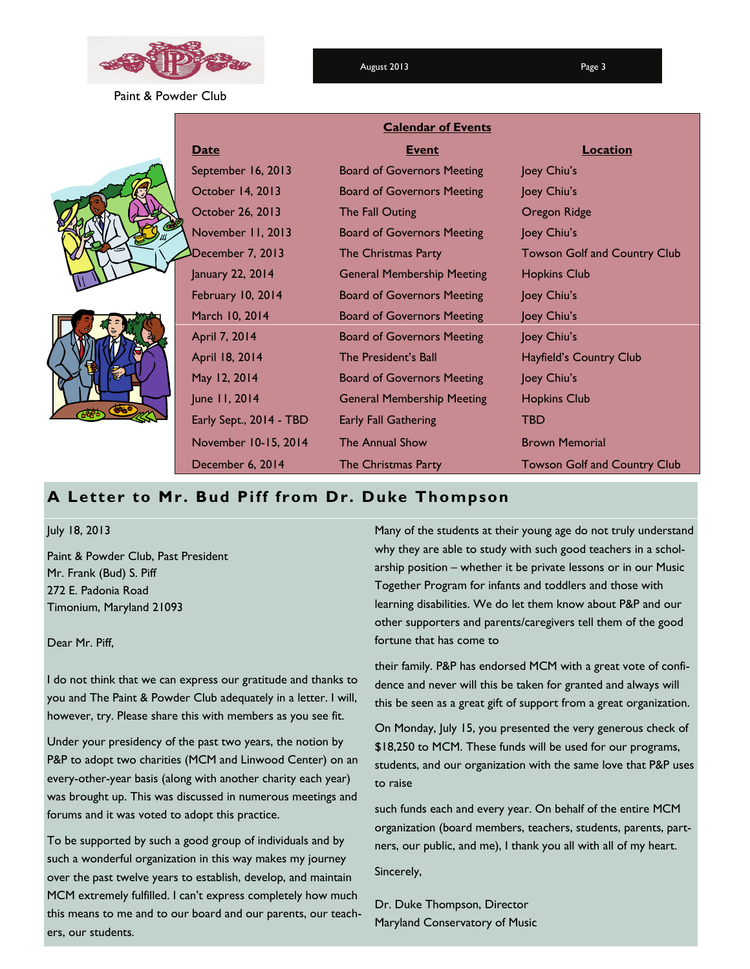

August 2013 **Page 3** 

Paint & Powder Club

|  | <b>Calendar of Events</b> |                                   |                                     |
|--|---------------------------|-----------------------------------|-------------------------------------|
|  | <b>Date</b>               | <b>Event</b>                      | <u>Location</u>                     |
|  | September 16, 2013        | <b>Board of Governors Meeting</b> | Joey Chiu's                         |
|  | October 14, 2013          | <b>Board of Governors Meeting</b> | Joey Chiu's                         |
|  | October 26, 2013          | The Fall Outing                   | Oregon Ridge                        |
|  | November 11, 2013         | <b>Board of Governors Meeting</b> | Joey Chiu's                         |
|  | December 7, 2013          | The Christmas Party               | <b>Towson Golf and Country Club</b> |
|  | January 22, 2014          | <b>General Membership Meeting</b> | <b>Hopkins Club</b>                 |
|  | February 10, 2014         | <b>Board of Governors Meeting</b> | Joey Chiu's                         |
|  | March 10, 2014            | <b>Board of Governors Meeting</b> | Joey Chiu's                         |
|  | April 7, 2014             | <b>Board of Governors Meeting</b> | Joey Chiu's                         |
|  | April 18, 2014            | The President's Ball              | Hayfield's Country Club             |
|  | May 12, 2014              | <b>Board of Governors Meeting</b> | Joey Chiu's                         |
|  | June 11, 2014             | <b>General Membership Meeting</b> | <b>Hopkins Club</b>                 |
|  | Early Sept., 2014 - TBD   | <b>Early Fall Gathering</b>       | <b>TBD</b>                          |
|  | November 10-15, 2014      | The Annual Show                   | <b>Brown Memorial</b>               |
|  | December 6, 2014          | The Christmas Party               | <b>Towson Golf and Country Club</b> |

### **A Letter to Mr. Bud Piff from Dr. Duke Thompson**

July 18, 2013

Paint & Powder Club, Past President Mr. Frank (Bud) S. Piff 272 E. Padonia Road Timonium, Maryland 21093

Dear Mr. Piff,

I do not think that we can express our gratitude and thanks to you and The Paint & Powder Club adequately in a letter. I will, however, try. Please share this with members as you see fit.

Under your presidency of the past two years, the notion by P&P to adopt two charities (MCM and Linwood Center) on an every-other-year basis (along with another charity each year) was brought up. This was discussed in numerous meetings and forums and it was voted to adopt this practice.

To be supported by such a good group of individuals and by such a wonderful organization in this way makes my journey over the past twelve years to establish, develop, and maintain MCM extremely fulfilled. I can't express completely how much this means to me and to our board and our parents, our teachers, our students.

Many of the students at their young age do not truly understand why they are able to study with such good teachers in a scholarship position – whether it be private lessons or in our Music Together Program for infants and toddlers and those with learning disabilities. We do let them know about P&P and our other supporters and parents/caregivers tell them of the good fortune that has come to

their family. P&P has endorsed MCM with a great vote of confidence and never will this be taken for granted and always will this be seen as a great gift of support from a great organization.

On Monday, July 15, you presented the very generous check of \$18,250 to MCM. These funds will be used for our programs, students, and our organization with the same love that P&P uses to raise

such funds each and every year. On behalf of the entire MCM organization (board members, teachers, students, parents, partners, our public, and me), I thank you all with all of my heart. Sincerely,

Dr. Duke Thompson, Director Maryland Conservatory of Music